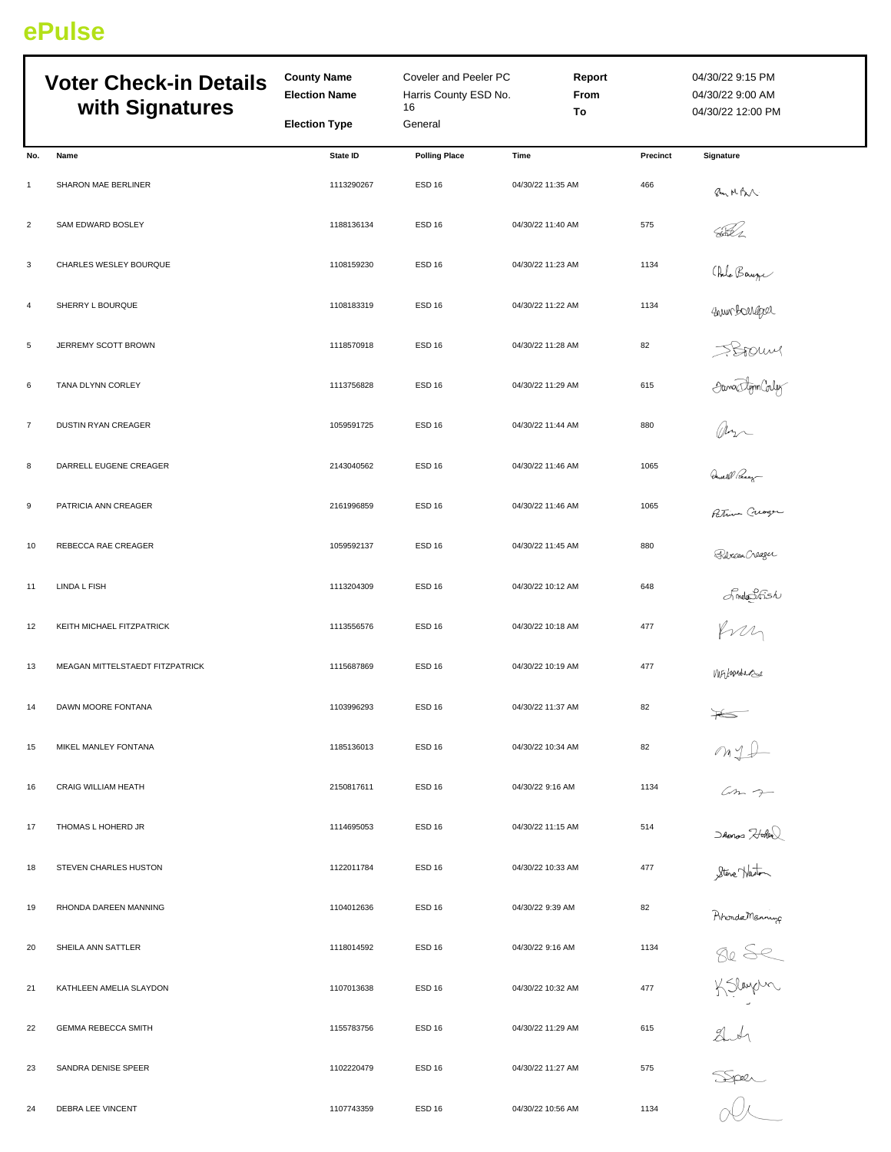## **ePulse**

|                | <b>Voter Check-in Details</b><br>with Signatures | <b>County Name</b><br><b>Election Name</b><br><b>Election Type</b> | Coveler and Peeler PC<br>Harris County ESD No.<br>16<br>General |                   | Report<br>From<br>To | 04/30/22 9:15 PM<br>04/30/22 9:00 AM<br>04/30/22 12:00 PM |
|----------------|--------------------------------------------------|--------------------------------------------------------------------|-----------------------------------------------------------------|-------------------|----------------------|-----------------------------------------------------------|
| No.            | Name                                             | State ID                                                           | <b>Polling Place</b>                                            | Time              | Precinct             | <b>Signature</b>                                          |
| $\mathbf{1}$   | SHARON MAE BERLINER                              | 1113290267                                                         | ESD <sub>16</sub>                                               | 04/30/22 11:35 AM | 466                  | Pm MBN                                                    |
| $\overline{2}$ | <b>SAM EDWARD BOSLEY</b>                         | 1188136134                                                         | <b>ESD 16</b>                                                   | 04/30/22 11:40 AM | 575                  | <u>AD i</u>                                               |
| 3              | CHARLES WESLEY BOURQUE                           | 1108159230                                                         | ESD <sub>16</sub>                                               | 04/30/22 11:23 AM | 1134                 |                                                           |
| 4              | SHERRY L BOURQUE                                 | 1108183319                                                         | ESD <sub>16</sub>                                               | 04/30/22 11:22 AM | 1134                 | (Ide Bauge                                                |
| 5              | JERREMY SCOTT BROWN                              | 1118570918                                                         | <b>ESD 16</b>                                                   | 04/30/22 11:28 AM | 82                   |                                                           |
| 6              | TANA DLYNN CORLEY                                | 1113756828                                                         | ESD <sub>16</sub>                                               | 04/30/22 11:29 AM | 615                  | SSOUM<br>OwnsdomColy<br>Our Currence                      |
| $\overline{7}$ | DUSTIN RYAN CREAGER                              | 1059591725                                                         | ESD <sub>16</sub>                                               | 04/30/22 11:44 AM | 880                  |                                                           |
| 8              | DARRELL EUGENE CREAGER                           | 2143040562                                                         | ESD <sub>16</sub>                                               | 04/30/22 11:46 AM | 1065                 |                                                           |
| 9              | PATRICIA ANN CREAGER                             | 2161996859                                                         | <b>ESD 16</b>                                                   | 04/30/22 11:46 AM | 1065                 |                                                           |
| 10             | REBECCA RAE CREAGER                              | 1059592137                                                         | <b>ESD 16</b>                                                   | 04/30/22 11:45 AM | 880                  | Ricea Creager                                             |
| 11             | LINDA L FISH                                     | 1113204309                                                         | ESD <sub>16</sub>                                               | 04/30/22 10:12 AM | 648                  |                                                           |
| 12             | KEITH MICHAEL FITZPATRICK                        | 1113556576                                                         | ESD <sub>16</sub>                                               | 04/30/22 10:18 AM | 477                  | Smothsh                                                   |
| 13             | MEAGAN MITTELSTAEDT FITZPATRICK                  | 1115687869                                                         | ESD <sub>16</sub>                                               | 04/30/22 10:19 AM | 477                  | Mirjunde                                                  |
| 14             | DAWN MOORE FONTANA                               | 1103996293                                                         | <b>ESD 16</b>                                                   | 04/30/22 11:37 AM | 82                   | $\frac{1}{\sqrt{2}}$                                      |
| 15             | MIKEL MANLEY FONTANA                             | 1185136013                                                         | ESD <sub>16</sub>                                               | 04/30/22 10:34 AM | 82                   | $m_{1}+$                                                  |
| 16             | CRAIG WILLIAM HEATH                              | 2150817611                                                         | ESD <sub>16</sub>                                               | 04/30/22 9:16 AM  | 1134                 |                                                           |
| 17             | THOMAS L HOHERD JR                               | 1114695053                                                         | <b>ESD 16</b>                                                   | 04/30/22 11:15 AM | 514                  | Shonos Hotel<br>Steve Haston                              |
| 18             | STEVEN CHARLES HUSTON                            | 1122011784                                                         | ESD <sub>16</sub>                                               | 04/30/22 10:33 AM | 477                  |                                                           |
| 19             | RHONDA DAREEN MANNING                            | 1104012636                                                         | ESD <sub>16</sub>                                               | 04/30/22 9:39 AM  | 82                   |                                                           |
| 20             | SHEILA ANN SATTLER                               | 1118014592                                                         | <b>ESD 16</b>                                                   | 04/30/22 9:16 AM  | 1134                 | Ahonda Manning<br>50 SC<br>K Slaupun                      |
| 21             | KATHLEEN AMELIA SLAYDON                          | 1107013638                                                         | ESD <sub>16</sub>                                               | 04/30/22 10:32 AM | 477                  |                                                           |
| 22             | <b>GEMMA REBECCA SMITH</b>                       | 1155783756                                                         | <b>ESD 16</b>                                                   | 04/30/22 11:29 AM | 615                  |                                                           |
| 23             | SANDRA DENISE SPEER                              | 1102220479                                                         | ESD <sub>16</sub>                                               | 04/30/22 11:27 AM | 575                  | and                                                       |
| 24             | DEBRA LEE VINCENT                                | 1107743359                                                         | ESD <sub>16</sub>                                               | 04/30/22 10:56 AM | 1134                 |                                                           |